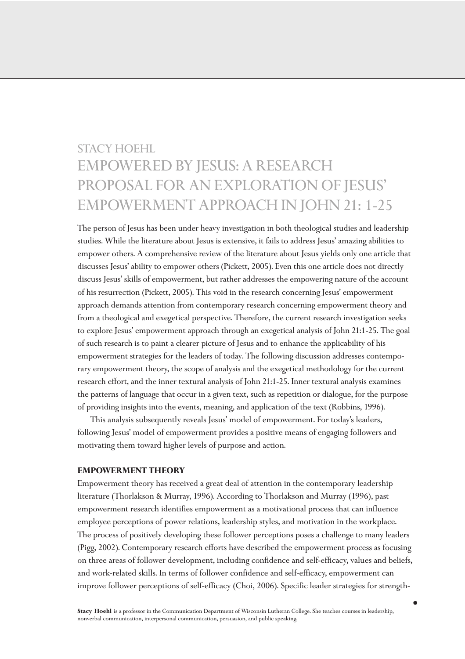# STACY HOEHL EMPOWERED BY JESUS: A RESEARCH PROPOSAL FOR AN EXPLORATION OF JESUS' EMPOWERMENT APPROACH IN JOHN 21: 1-25

The person of Jesus has been under heavy investigation in both theological studies and leadership studies. While the literature about Jesus is extensive, it fails to address Jesus' amazing abilities to empower others. A comprehensive review of the literature about Jesus yields only one article that discusses Jesus' ability to empower others (Pickett, 2005). Even this one article does not directly discuss Jesus' skills of empowerment, but rather addresses the empowering nature of the account of his resurrection (Pickett, 2005). This void in the research concerning Jesus' empowerment approach demands attention from contemporary research concerning empowerment theory and from a theological and exegetical perspective. Therefore, the current research investigation seeks to explore Jesus' empowerment approach through an exegetical analysis of John 21:1-25. The goal of such research is to paint a clearer picture of Jesus and to enhance the applicability of his empowerment strategies for the leaders of today. The following discussion addresses contemporary empowerment theory, the scope of analysis and the exegetical methodology for the current research effort, and the inner textural analysis of John 21:1-25. Inner textural analysis examines the patterns of language that occur in a given text, such as repetition or dialogue, for the purpose of providing insights into the events, meaning, and application of the text (Robbins, 1996).

This analysis subsequently reveals Jesus' model of empowerment. For today's leaders, following Jesus' model of empowerment provides a positive means of engaging followers and motivating them toward higher levels of purpose and action.

### **EMPOWERMENT THEORY**

Empowerment theory has received a great deal of attention in the contemporary leadership literature (Thorlakson & Murray, 1996). According to Thorlakson and Murray (1996), past empowerment research identifies empowerment as a motivational process that can influence employee perceptions of power relations, leadership styles, and motivation in the workplace. The process of positively developing these follower perceptions poses a challenge to many leaders (Pigg, 2002). Contemporary research efforts have described the empowerment process as focusing on three areas of follower development, including confidence and self-efficacy, values and beliefs, and work-related skills. In terms of follower confidence and self-efficacy, empowerment can improve follower perceptions of self-efficacy (Choi, 2006). Specific leader strategies for strength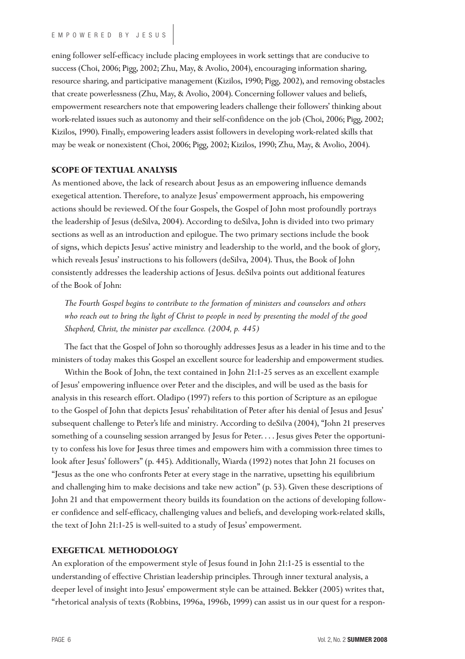ening follower self-efficacy include placing employees in work settings that are conducive to success (Choi, 2006; Pigg, 2002; Zhu, May, & Avolio, 2004), encouraging information sharing, resource sharing, and participative management (Kizilos, 1990; Pigg, 2002), and removing obstacles that create powerlessness (Zhu, May, & Avolio, 2004). Concerning follower values and beliefs, empowerment researchers note that empowering leaders challenge their followers' thinking about work-related issues such as autonomy and their self-confidence on the job (Choi, 2006; Pigg, 2002; Kizilos, 1990). Finally, empowering leaders assist followers in developing work-related skills that may be weak or nonexistent (Choi, 2006; Pigg, 2002; Kizilos, 1990; Zhu, May, & Avolio, 2004).

## **SCOPE OF TEXTUAL ANALYSIS**

As mentioned above, the lack of research about Jesus as an empowering influence demands exegetical attention. Therefore, to analyze Jesus' empowerment approach, his empowering actions should be reviewed. Of the four Gospels, the Gospel of John most profoundly portrays the leadership of Jesus (deSilva, 2004). According to deSilva, John is divided into two primary sections as well as an introduction and epilogue. The two primary sections include the book of signs, which depicts Jesus' active ministry and leadership to the world, and the book of glory, which reveals Jesus' instructions to his followers (deSilva, 2004). Thus, the Book of John consistently addresses the leadership actions of Jesus. deSilva points out additional features of the Book of John:

*The Fourth Gospel begins to contribute to the formation of ministers and counselors and others who reach out to bring the light of Christ to people in need by presenting the model of the good Shepherd, Christ, the minister par excellence. (2004, p. 445)*

The fact that the Gospel of John so thoroughly addresses Jesus as a leader in his time and to the ministers of today makes this Gospel an excellent source for leadership and empowerment studies.

Within the Book of John, the text contained in John 21:1-25 serves as an excellent example of Jesus' empowering influence over Peter and the disciples, and will be used as the basis for analysis in this research effort. Oladipo (1997) refers to this portion of Scripture as an epilogue to the Gospel of John that depicts Jesus' rehabilitation of Peter after his denial of Jesus and Jesus' subsequent challenge to Peter's life and ministry. According to deSilva (2004), "John 21 preserves something of a counseling session arranged by Jesus for Peter. . . . Jesus gives Peter the opportunity to confess his love for Jesus three times and empowers him with a commission three times to look after Jesus' followers" (p. 445). Additionally, Wiarda (1992) notes that John 21 focuses on "Jesus as the one who confronts Peter at every stage in the narrative, upsetting his equilibrium and challenging him to make decisions and take new action" (p. 53). Given these descriptions of John 21 and that empowerment theory builds its foundation on the actions of developing follower confidence and self-efficacy, challenging values and beliefs, and developing work-related skills, the text of John 21:1-25 is well-suited to a study of Jesus' empowerment.

## **EXEGETICAL METHODOLOGY**

An exploration of the empowerment style of Jesus found in John 21:1-25 is essential to the understanding of effective Christian leadership principles. Through inner textural analysis, a deeper level of insight into Jesus' empowerment style can be attained. Bekker (2005) writes that, "rhetorical analysis of texts (Robbins, 1996a, 1996b, 1999) can assist us in our quest for a respon-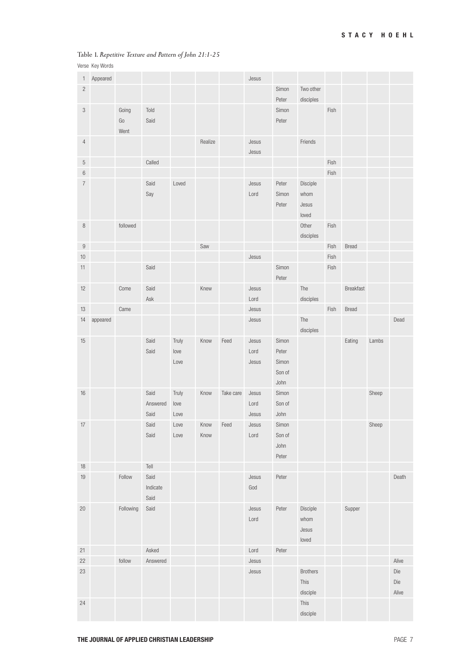## Table 1. *Repetitive Texture and Pattern of John 21:1-25*

Verse Key Words

| $\mathbf{1}$     | Appeared |           |          |       |         |           | Jesus |        |                 |      |              |       |       |
|------------------|----------|-----------|----------|-------|---------|-----------|-------|--------|-----------------|------|--------------|-------|-------|
| $\overline{c}$   |          |           |          |       |         |           |       | Simon  | Two other       |      |              |       |       |
|                  |          |           |          |       |         |           |       | Peter  | disciples       |      |              |       |       |
| $\sqrt{3}$       |          | Going     | Told     |       |         |           |       | Simon  |                 | Fish |              |       |       |
|                  |          | Go        | Said     |       |         |           |       | Peter  |                 |      |              |       |       |
|                  |          | Went      |          |       |         |           |       |        |                 |      |              |       |       |
| $\overline{4}$   |          |           |          |       | Realize |           | Jesus |        | Friends         |      |              |       |       |
|                  |          |           |          |       |         |           | Jesus |        |                 |      |              |       |       |
| 5                |          |           | Called   |       |         |           |       |        |                 | Fish |              |       |       |
| 6                |          |           |          |       |         |           |       |        |                 | Fish |              |       |       |
| $\overline{7}$   |          |           | Said     | Loved |         |           | Jesus | Peter  | Disciple        |      |              |       |       |
|                  |          |           | Say      |       |         |           | Lord  | Simon  | whom            |      |              |       |       |
|                  |          |           |          |       |         |           |       | Peter  | Jesus           |      |              |       |       |
|                  |          |           |          |       |         |           |       |        | loved           |      |              |       |       |
| $\, 8$           |          | followed  |          |       |         |           |       |        | Other           | Fish |              |       |       |
|                  |          |           |          |       |         |           |       |        | disciples       |      |              |       |       |
| $\boldsymbol{9}$ |          |           |          |       | Saw     |           |       |        |                 | Fish | Bread        |       |       |
| $10$             |          |           |          |       |         |           | Jesus |        |                 | Fish |              |       |       |
| 11               |          |           | Said     |       |         |           |       | Simon  |                 | Fish |              |       |       |
|                  |          |           |          |       |         |           |       | Peter  |                 |      |              |       |       |
| 12               |          | Come      | Said     |       | Knew    |           | Jesus |        | The             |      | Breakfast    |       |       |
|                  |          |           | Ask      |       |         |           | Lord  |        | disciples       |      |              |       |       |
| 13               |          | Came      |          |       |         |           | Jesus |        |                 | Fish | <b>Bread</b> |       |       |
| 14               | appeared |           |          |       |         |           | Jesus |        | The             |      |              |       | Dead  |
|                  |          |           |          |       |         |           |       |        | disciples       |      |              |       |       |
| 15               |          |           | Said     | Truly | Know    | Feed      | Jesus | Simon  |                 |      | Eating       | Lambs |       |
|                  |          |           | Said     | love  |         |           | Lord  | Peter  |                 |      |              |       |       |
|                  |          |           |          | Love  |         |           | Jesus | Simon  |                 |      |              |       |       |
|                  |          |           |          |       |         |           |       | Son of |                 |      |              |       |       |
|                  |          |           |          |       |         |           |       | John   |                 |      |              |       |       |
| 16               |          |           | Said     | Truly | Know    | Take care | Jesus | Simon  |                 |      |              | Sheep |       |
|                  |          |           | Answered | love  |         |           | Lord  | Son of |                 |      |              |       |       |
|                  |          |           | Said     | Love  |         |           | Jesus | John   |                 |      |              |       |       |
| $17$             |          |           | Said     | Love  | Know    | Feed      | Jesus | Simon  |                 |      |              | Sheep |       |
|                  |          |           | Said     | Love  | Know    |           | Lord  | Son of |                 |      |              |       |       |
|                  |          |           |          |       |         |           |       | John   |                 |      |              |       |       |
|                  |          |           |          |       |         |           |       | Peter  |                 |      |              |       |       |
| 18               |          |           | Tell     |       |         |           |       |        |                 |      |              |       |       |
| 19               |          | Follow    | Said     |       |         |           | Jesus | Peter  |                 |      |              |       | Death |
|                  |          |           | Indicate |       |         |           | God   |        |                 |      |              |       |       |
|                  |          |           | Said     |       |         |           |       |        |                 |      |              |       |       |
| 20               |          | Following | Said     |       |         |           | Jesus | Peter  | Disciple        |      | Supper       |       |       |
|                  |          |           |          |       |         |           | Lord  |        | whom            |      |              |       |       |
|                  |          |           |          |       |         |           |       |        | Jesus           |      |              |       |       |
|                  |          |           |          |       |         |           |       |        | loved           |      |              |       |       |
| 21               |          |           | Asked    |       |         |           | Lord  | Peter  |                 |      |              |       |       |
| 22               |          | follow    | Answered |       |         |           | Jesus |        |                 |      |              |       | Alive |
| 23               |          |           |          |       |         |           | Jesus |        | <b>Brothers</b> |      |              |       | Die   |
|                  |          |           |          |       |         |           |       |        | This            |      |              |       | Die   |
|                  |          |           |          |       |         |           |       |        | disciple        |      |              |       | Alive |
| 24               |          |           |          |       |         |           |       |        | This            |      |              |       |       |
|                  |          |           |          |       |         |           |       |        | disciple        |      |              |       |       |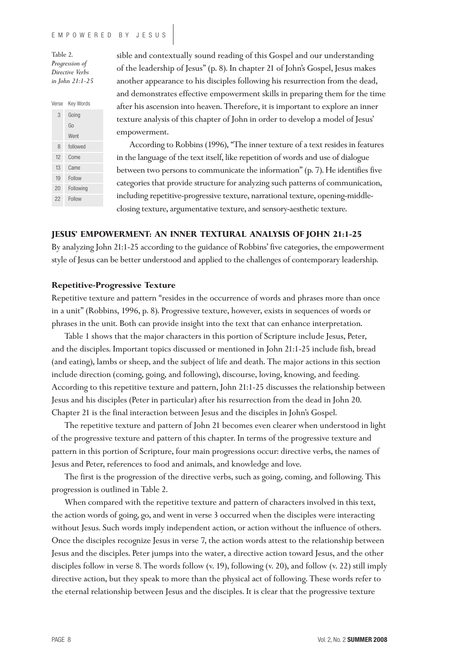Table 2. *Progression of Directive Verbs in John 21:1-25*

| Verse | Key Words |  |  |
|-------|-----------|--|--|
| 3     | Going     |  |  |
|       | Go        |  |  |
|       | Went      |  |  |
| 8     | followed  |  |  |
| 12    | Come      |  |  |
| 13    | Came      |  |  |
| 19    | Follow    |  |  |
| 20    | Following |  |  |
| 22    | Follow    |  |  |

sible and contextually sound reading of this Gospel and our understanding of the leadership of Jesus" (p. 8). In chapter 21 of John's Gospel, Jesus makes another appearance to his disciples following his resurrection from the dead, and demonstrates effective empowerment skills in preparing them for the time after his ascension into heaven. Therefore, it is important to explore an inner texture analysis of this chapter of John in order to develop a model of Jesus' empowerment.

According to Robbins (1996), "The inner texture of a text resides in features in the language of the text itself, like repetition of words and use of dialogue between two persons to communicate the information" (p. 7). He identifies five categories that provide structure for analyzing such patterns of communication, including repetitive-progressive texture, narrational texture, opening-middleclosing texture, argumentative texture, and sensory-aesthetic texture.

## **JESUS' EMPOWERMENT: AN INNER TEXTURAL ANALYSIS OF JOHN 21:1-25**

By analyzing John 21:1-25 according to the guidance of Robbins' five categories, the empowerment style of Jesus can be better understood and applied to the challenges of contemporary leadership.

### **Repetitive-Progressive Texture**

Repetitive texture and pattern "resides in the occurrence of words and phrases more than once in a unit" (Robbins, 1996, p. 8). Progressive texture, however, exists in sequences of words or phrases in the unit. Both can provide insight into the text that can enhance interpretation.

Table 1 shows that the major characters in this portion of Scripture include Jesus, Peter, and the disciples. Important topics discussed or mentioned in John 21:1-25 include fish, bread (and eating), lambs or sheep, and the subject of life and death. The major actions in this section include direction (coming, going, and following), discourse, loving, knowing, and feeding. According to this repetitive texture and pattern, John 21:1-25 discusses the relationship between Jesus and his disciples (Peter in particular) after his resurrection from the dead in John 20. Chapter 21 is the final interaction between Jesus and the disciples in John's Gospel.

The repetitive texture and pattern of John 21 becomes even clearer when understood in light of the progressive texture and pattern of this chapter. In terms of the progressive texture and pattern in this portion of Scripture, four main progressions occur: directive verbs, the names of Jesus and Peter, references to food and animals, and knowledge and love.

The first is the progression of the directive verbs, such as going, coming, and following. This progression is outlined in Table 2.

When compared with the repetitive texture and pattern of characters involved in this text, the action words of going, go, and went in verse 3 occurred when the disciples were interacting without Jesus. Such words imply independent action, or action without the influence of others. Once the disciples recognize Jesus in verse 7, the action words attest to the relationship between Jesus and the disciples. Peter jumps into the water, a directive action toward Jesus, and the other disciples follow in verse 8. The words follow (v. 19), following (v. 20), and follow (v. 22) still imply directive action, but they speak to more than the physical act of following. These words refer to the eternal relationship between Jesus and the disciples. It is clear that the progressive texture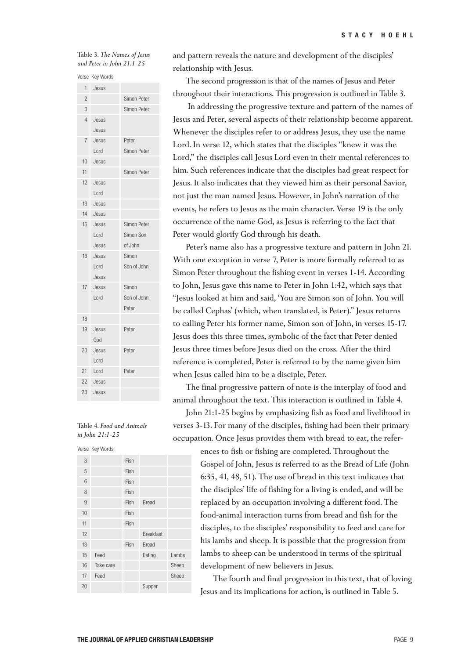#### Table 3. *The Names of Jesus and Peter in John 21:1-25*

Verse Key Words

| 10 I O         | <b>IVEY AANTAS</b> |             |
|----------------|--------------------|-------------|
| 1              | Jesus              |             |
| $\overline{2}$ |                    | Simon Peter |
| 3              |                    | Simon Peter |
| $\overline{4}$ | Jesus              |             |
|                | Jesus              |             |
| 7              | Jesus              | Peter       |
|                | Lord               | Simon Peter |
| 10             | Jesus              |             |
| 11             |                    | Simon Peter |
| 12             | Jesus              |             |
|                | Lord               |             |
| 13             | Jesus              |             |
| 14             | Jesus              |             |
| 15             | Jesus              | Simon Peter |
|                | Lord               | Simon Son   |
|                | Jesus              | of John     |
| 16             | Jesus              | Simon       |
|                | Lord               | Son of John |
|                | Jesus              |             |
| 17             | Jesus              | Simon       |
|                | Lord               | Son of John |
|                |                    | Peter       |
| 18             |                    |             |
| 19             | Jesus              | Peter       |
|                | God                |             |
| 20             | Jesus              | Peter       |
|                | Lord               |             |
| 21             | Lord               | Peter       |
| 22             | Jesus              |             |
| 23             | Jesus              |             |

#### Table 4. *Food and Animals in John 21:1-25*

Verse Key Words

|    | verse Key words |      |                  |       |
|----|-----------------|------|------------------|-------|
| 3  |                 | Fish |                  |       |
| 5  |                 | Fish |                  |       |
| 6  |                 | Fish |                  |       |
| 8  |                 | Fish |                  |       |
| 9  |                 | Fish | Bread            |       |
| 10 |                 | Fish |                  |       |
| 11 |                 | Fish |                  |       |
| 12 |                 |      | <b>Breakfast</b> |       |
| 13 |                 | Fish | <b>Bread</b>     |       |
| 15 | Feed            |      | Eating           | Lambs |
| 16 | Take care       |      |                  | Sheep |
| 17 | Feed            |      |                  | Sheep |
| 20 |                 |      | Supper           |       |
|    |                 |      |                  |       |

and pattern reveals the nature and development of the disciples' relationship with Jesus.

The second progression is that of the names of Jesus and Peter throughout their interactions. This progression is outlined in Table 3.

In addressing the progressive texture and pattern of the names of Jesus and Peter, several aspects of their relationship become apparent. Whenever the disciples refer to or address Jesus, they use the name Lord. In verse 12, which states that the disciples "knew it was the Lord," the disciples call Jesus Lord even in their mental references to him. Such references indicate that the disciples had great respect for Jesus. It also indicates that they viewed him as their personal Savior, not just the man named Jesus. However, in John's narration of the events, he refers to Jesus as the main character. Verse 19 is the only occurrence of the name God, as Jesus is referring to the fact that Peter would glorify God through his death.

Peter's name also has a progressive texture and pattern in John 21. With one exception in verse 7, Peter is more formally referred to as Simon Peter throughout the fishing event in verses 1-14. According to John, Jesus gave this name to Peter in John 1:42, which says that "Jesus looked at him and said, 'You are Simon son of John. You will be called Cephas' (which, when translated, is Peter)." Jesus returns to calling Peter his former name, Simon son of John, in verses 15-17. Jesus does this three times, symbolic of the fact that Peter denied Jesus three times before Jesus died on the cross. After the third reference is completed, Peter is referred to by the name given him when Jesus called him to be a disciple, Peter.

The final progressive pattern of note is the interplay of food and animal throughout the text. This interaction is outlined in Table 4.

John 21:1-25 begins by emphasizing fish as food and livelihood in verses 3-13. For many of the disciples, fishing had been their primary occupation. Once Jesus provides them with bread to eat, the refer-

> ences to fish or fishing are completed. Throughout the Gospel of John, Jesus is referred to as the Bread of Life (John 6:35, 41, 48, 51). The use of bread in this text indicates that the disciples' life of fishing for a living is ended, and will be replaced by an occupation involving a different food. The food-animal interaction turns from bread and fish for the disciples, to the disciples' responsibility to feed and care for his lambs and sheep. It is possible that the progression from lambs to sheep can be understood in terms of the spiritual development of new believers in Jesus.

The fourth and final progression in this text, that of loving Jesus and its implications for action, is outlined in Table 5.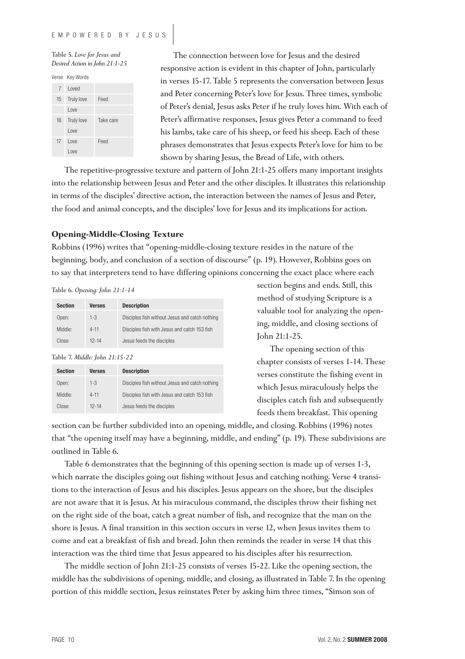Table 5. *Love for Jesus and Desired Action in John 21:1-25*

Verse Key Words

| 7  | Loved             |           |
|----|-------------------|-----------|
| 15 | <b>Truly love</b> | Feed      |
|    | I ove             |           |
| 16 | <b>Truly love</b> | Take care |
|    | I ove             |           |
| 17 | I ove             | Feed      |
|    | l ove             |           |

The connection between love for Jesus and the desired responsive action is evident in this chapter of John, particularly in verses 15-17. Table 5 represents the conversation between Jesus and Peter concerning Peter's love for Jesus. Three times, symbolic of Peter's denial, Jesus asks Peter if he truly loves him. With each of Peter's affirmative responses, Jesus gives Peter a command to feed his lambs, take care of his sheep, or feed his sheep. Each of these phrases demonstrates that Jesus expects Peter's love for him to be shown by sharing Jesus, the Bread of Life, with others.

The repetitive-progressive texture and pattern of John 21:1-25 offers many important insights into the relationship between Jesus and Peter and the other disciples. It illustrates this relationship in terms of the disciples' directive action, the interaction between the names of Jesus and Peter, the food and animal concepts, and the disciples' love for Jesus and its implications for action.

## **Opening-Middle-Closing Texture**

Robbins (1996) writes that "opening-middle-closing texture resides in the nature of the beginning, body, and conclusion of a section of discourse" (p. 19). However, Robbins goes on to say that interpreters tend to have differing opinions concerning the exact place where each

#### Table 6. *Opening: John 21:1-14*

| <b>Section</b> | <b>Verses</b> | <b>Description</b>                             |
|----------------|---------------|------------------------------------------------|
| Open:          | $1 - 3$       | Disciples fish without Jesus and catch nothing |
| Middle:        | $4 - 11$      | Disciples fish with Jesus and catch 153 fish   |
| Close:         | $12 - 14$     | Jesus feeds the disciples                      |

Table 7. *Middle: John 21:15-22*

| <b>Section</b> | <b>Verses</b> | <b>Description</b>                             |
|----------------|---------------|------------------------------------------------|
| Open:          | $1 - 3$       | Disciples fish without Jesus and catch nothing |
| Middle:        | $4 - 11$      | Disciples fish with Jesus and catch 153 fish   |
| Close:         | $12 - 14$     | Jesus feeds the disciples                      |

section begins and ends. Still, this method of studying Scripture is a valuable tool for analyzing the opening, middle, and closing sections of John 21:1-25.

The opening section of this chapter consists of verses 1-14. These verses constitute the fishing event in which Jesus miraculously helps the disciples catch fish and subsequently feeds them breakfast. This opening

section can be further subdivided into an opening, middle, and closing. Robbins (1996) notes that "the opening itself may have a beginning, middle, and ending" (p. 19). These subdivisions are outlined in Table 6.

Table 6 demonstrates that the beginning of this opening section is made up of verses 1-3, which narrate the disciples going out fishing without Jesus and catching nothing. Verse 4 transitions to the interaction of Jesus and his disciples. Jesus appears on the shore, but the disciples are not aware that it is Jesus. At his miraculous command, the disciples throw their fishing net on the right side of the boat, catch a great number of fish, and recognize that the man on the shore is Jesus. A final transition in this section occurs in verse 12, when Jesus invites them to come and eat a breakfast of fish and bread. John then reminds the reader in verse 14 that this interaction was the third time that Jesus appeared to his disciples after his resurrection.

The middle section of John 21:1-25 consists of verses 15-22. Like the opening section, the middle has the subdivisions of opening, middle, and closing, as illustrated in Table 7. In the opening portion of this middle section, Jesus reinstates Peter by asking him three times, "Simon son of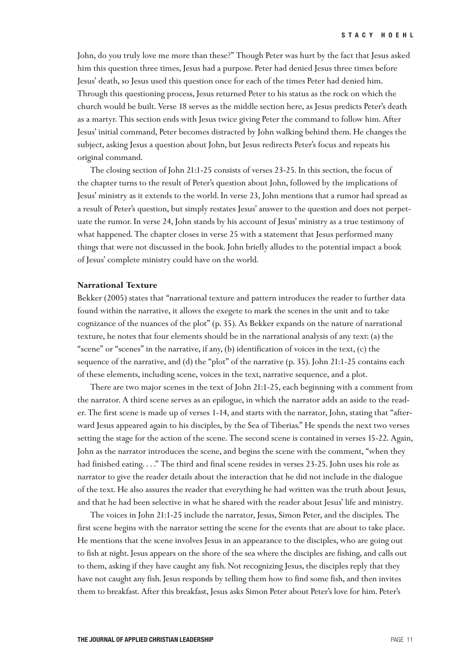John, do you truly love me more than these?" Though Peter was hurt by the fact that Jesus asked him this question three times, Jesus had a purpose. Peter had denied Jesus three times before Jesus' death, so Jesus used this question once for each of the times Peter had denied him. Through this questioning process, Jesus returned Peter to his status as the rock on which the church would be built. Verse 18 serves as the middle section here, as Jesus predicts Peter's death as a martyr. This section ends with Jesus twice giving Peter the command to follow him. After Jesus' initial command, Peter becomes distracted by John walking behind them. He changes the subject, asking Jesus a question about John, but Jesus redirects Peter's focus and repeats his original command.

The closing section of John 21:1-25 consists of verses 23-25. In this section, the focus of the chapter turns to the result of Peter's question about John, followed by the implications of Jesus' ministry as it extends to the world. In verse 23, John mentions that a rumor had spread as a result of Peter's question, but simply restates Jesus' answer to the question and does not perpetuate the rumor. In verse 24, John stands by his account of Jesus' ministry as a true testimony of what happened. The chapter closes in verse 25 with a statement that Jesus performed many things that were not discussed in the book. John briefly alludes to the potential impact a book of Jesus' complete ministry could have on the world.

#### **Narrational Texture**

Bekker (2005) states that "narrational texture and pattern introduces the reader to further data found within the narrative, it allows the exegete to mark the scenes in the unit and to take cognizance of the nuances of the plot" (p. 35). As Bekker expands on the nature of narrational texture, he notes that four elements should be in the narrational analysis of any text: (a) the "scene" or "scenes" in the narrative, if any, (b) identification of voices in the text, (c) the sequence of the narrative, and (d) the "plot" of the narrative (p. 35). John 21:1-25 contains each of these elements, including scene, voices in the text, narrative sequence, and a plot.

There are two major scenes in the text of John 21:1-25, each beginning with a comment from the narrator. A third scene serves as an epilogue, in which the narrator adds an aside to the reader. The first scene is made up of verses 1-14, and starts with the narrator, John, stating that "afterward Jesus appeared again to his disciples, by the Sea of Tiberias." He spends the next two verses setting the stage for the action of the scene. The second scene is contained in verses 15-22. Again, John as the narrator introduces the scene, and begins the scene with the comment, "when they had finished eating. . . ." The third and final scene resides in verses 23-25. John uses his role as narrator to give the reader details about the interaction that he did not include in the dialogue of the text. He also assures the reader that everything he had written was the truth about Jesus, and that he had been selective in what he shared with the reader about Jesus' life and ministry.

The voices in John 21:1-25 include the narrator, Jesus, Simon Peter, and the disciples. The first scene begins with the narrator setting the scene for the events that are about to take place. He mentions that the scene involves Jesus in an appearance to the disciples, who are going out to fish at night. Jesus appears on the shore of the sea where the disciples are fishing, and calls out to them, asking if they have caught any fish. Not recognizing Jesus, the disciples reply that they have not caught any fish. Jesus responds by telling them how to find some fish, and then invites them to breakfast. After this breakfast, Jesus asks Simon Peter about Peter's love for him. Peter's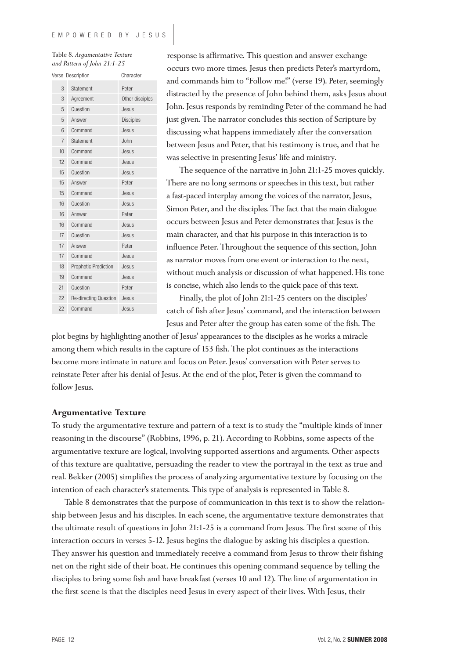Table 8. *Argumentative Texture and Pattern of John 21:1-25*

|    | Verse Description     | Character        |
|----|-----------------------|------------------|
| 3  | Statement             | Peter            |
| 3  | Agreement             | Other disciples  |
| 5  | Question              | Jesus            |
| 5  | Answer                | <b>Disciples</b> |
| 6  | Command               | Jesus            |
| 7  | Statement             | John             |
| 10 | Command               | Jesus            |
| 12 | Command               | Jesus            |
| 15 | Question              | Jesus            |
| 15 | Answer                | Peter            |
| 15 | Command               | Jesus            |
| 16 | Question              | Jesus            |
| 16 | Answer                | Peter            |
| 16 | Command               | Jesus            |
| 17 | Question              | Jesus            |
| 17 | Answer                | Peter            |
| 17 | Command               | Jesus            |
| 18 | Prophetic Prediction  | Jesus            |
| 19 | Command               | Jesus            |
| 21 | Question              | Peter            |
| 22 | Re-directing Question | Jesus            |
| 22 | Command               | Jesus            |

response is affirmative. This question and answer exchange occurs two more times. Jesus then predicts Peter's martyrdom, and commands him to "Follow me!" (verse 19). Peter, seemingly distracted by the presence of John behind them, asks Jesus about John. Jesus responds by reminding Peter of the command he had just given. The narrator concludes this section of Scripture by discussing what happens immediately after the conversation between Jesus and Peter, that his testimony is true, and that he was selective in presenting Jesus' life and ministry.

The sequence of the narrative in John 21:1-25 moves quickly. There are no long sermons or speeches in this text, but rather a fast-paced interplay among the voices of the narrator, Jesus, Simon Peter, and the disciples. The fact that the main dialogue occurs between Jesus and Peter demonstrates that Jesus is the main character, and that his purpose in this interaction is to influence Peter. Throughout the sequence of this section, John as narrator moves from one event or interaction to the next, without much analysis or discussion of what happened. His tone is concise, which also lends to the quick pace of this text.

Finally, the plot of John 21:1-25 centers on the disciples' catch of fish after Jesus' command, and the interaction between Jesus and Peter after the group has eaten some of the fish. The

plot begins by highlighting another of Jesus' appearances to the disciples as he works a miracle among them which results in the capture of 153 fish. The plot continues as the interactions become more intimate in nature and focus on Peter. Jesus' conversation with Peter serves to reinstate Peter after his denial of Jesus. At the end of the plot, Peter is given the command to follow Jesus.

#### **Argumentative Texture**

To study the argumentative texture and pattern of a text is to study the "multiple kinds of inner reasoning in the discourse" (Robbins, 1996, p. 21). According to Robbins, some aspects of the argumentative texture are logical, involving supported assertions and arguments. Other aspects of this texture are qualitative, persuading the reader to view the portrayal in the text as true and real. Bekker (2005) simplifies the process of analyzing argumentative texture by focusing on the intention of each character's statements. This type of analysis is represented in Table 8.

Table 8 demonstrates that the purpose of communication in this text is to show the relationship between Jesus and his disciples. In each scene, the argumentative texture demonstrates that the ultimate result of questions in John 21:1-25 is a command from Jesus. The first scene of this interaction occurs in verses 5-12. Jesus begins the dialogue by asking his disciples a question. They answer his question and immediately receive a command from Jesus to throw their fishing net on the right side of their boat. He continues this opening command sequence by telling the disciples to bring some fish and have breakfast (verses 10 and 12). The line of argumentation in the first scene is that the disciples need Jesus in every aspect of their lives. With Jesus, their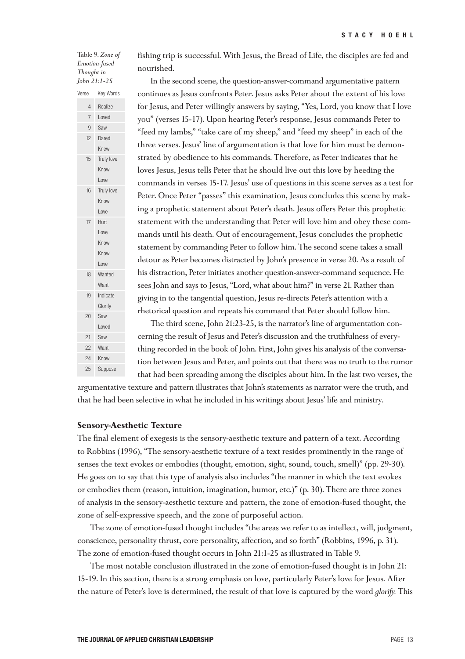Table 9. *Zone of Emotion-fused Thought in John 21:1-25*

Verse Key Words

Loved Saw Dared Knew

15 Truly love

Know Love

16 Truly love

Know Love

Love Know Know Love

17 Hurt

18 Wanted

Want Indicate Glorify Saw Loved

19

20

Want Know Suppose fishing trip is successful. With Jesus, the Bread of Life, the disciples are fed and nourished.

In the second scene, the question-answer-command argumentative pattern continues as Jesus confronts Peter. Jesus asks Peter about the extent of his love for Jesus, and Peter willingly answers by saying, "Yes, Lord, you know that I love you" (verses 15-17). Upon hearing Peter's response, Jesus commands Peter to "feed my lambs," "take care of my sheep," and "feed my sheep" in each of the three verses. Jesus' line of argumentation is that love for him must be demonstrated by obedience to his commands. Therefore, as Peter indicates that he loves Jesus, Jesus tells Peter that he should live out this love by heeding the commands in verses 15-17. Jesus' use of questions in this scene serves as a test for Peter. Once Peter "passes" this examination, Jesus concludes this scene by making a prophetic statement about Peter's death. Jesus offers Peter this prophetic statement with the understanding that Peter will love him and obey these commands until his death. Out of encouragement, Jesus concludes the prophetic statement by commanding Peter to follow him. The second scene takes a small detour as Peter becomes distracted by John's presence in verse 20. As a result of his distraction, Peter initiates another question-answer-command sequence. He sees John and says to Jesus, "Lord, what about him?" in verse 21. Rather than giving in to the tangential question, Jesus re-directs Peter's attention with a rhetorical question and repeats his command that Peter should follow him.

The third scene, John 21:23-25, is the narrator's line of argumentation concerning the result of Jesus and Peter's discussion and the truthfulness of everything recorded in the book of John. First, John gives his analysis of the conversation between Jesus and Peter, and points out that there was no truth to the rumor that had been spreading among the disciples about him. In the last two verses, the

argumentative texture and pattern illustrates that John's statements as narrator were the truth, and that he had been selective in what he included in his writings about Jesus' life and ministry.

#### **Sensory-Aesthetic Texture**

The final element of exegesis is the sensory-aesthetic texture and pattern of a text. According to Robbins (1996), "The sensory-aesthetic texture of a text resides prominently in the range of senses the text evokes or embodies (thought, emotion, sight, sound, touch, smell)" (pp. 29-30). He goes on to say that this type of analysis also includes "the manner in which the text evokes or embodies them (reason, intuition, imagination, humor, etc.)" (p. 30). There are three zones of analysis in the sensory-aesthetic texture and pattern, the zone of emotion-fused thought, the zone of self-expressive speech, and the zone of purposeful action.

The zone of emotion-fused thought includes "the areas we refer to as intellect, will, judgment, conscience, personality thrust, core personality, affection, and so forth" (Robbins, 1996, p. 31). The zone of emotion-fused thought occurs in John 21:1-25 as illustrated in Table 9.

The most notable conclusion illustrated in the zone of emotion-fused thought is in John 21: 15-19. In this section, there is a strong emphasis on love, particularly Peter's love for Jesus. After the nature of Peter's love is determined, the result of that love is captured by the word *glorify.* This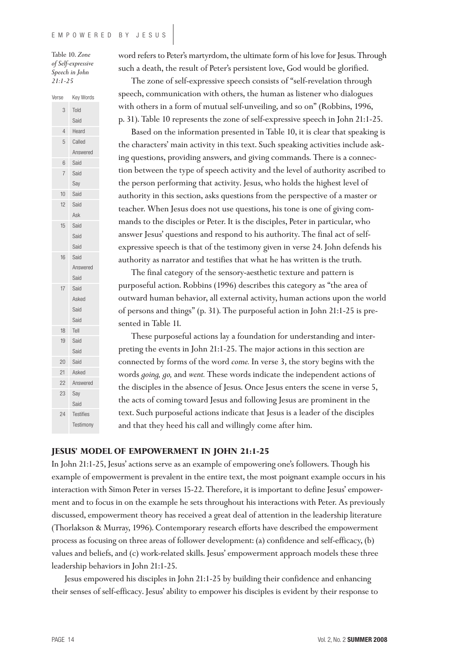Table 10. *Zone of Self-expressive Speech in John 21:1-25*

word refers to Peter's martyrdom, the ultimate form of his love for Jesus. Through such a death, the result of Peter's persistent love, God would be glorified.

The zone of self-expressive speech consists of "self-revelation through speech, communication with others, the human as listener who dialogues with others in a form of mutual self-unveiling, and so on" (Robbins, 1996, p. 31). Table 10 represents the zone of self-expressive speech in John 21:1-25.

Based on the information presented in Table 10, it is clear that speaking is the characters' main activity in this text. Such speaking activities include asking questions, providing answers, and giving commands. There is a connection between the type of speech activity and the level of authority ascribed to the person performing that activity. Jesus, who holds the highest level of authority in this section, asks questions from the perspective of a master or teacher. When Jesus does not use questions, his tone is one of giving commands to the disciples or Peter. It is the disciples, Peter in particular, who answer Jesus' questions and respond to his authority. The final act of selfexpressive speech is that of the testimony given in verse 24. John defends his authority as narrator and testifies that what he has written is the truth.

The final category of the sensory-aesthetic texture and pattern is purposeful action. Robbins (1996) describes this category as "the area of outward human behavior, all external activity, human actions upon the world of persons and things" (p. 31). The purposeful action in John 21:1-25 is presented in Table 11.

These purposeful actions lay a foundation for understanding and interpreting the events in John 21:1-25. The major actions in this section are connected by forms of the word *come.* In verse 3, the story begins with the words *going, go,* and *went.* These words indicate the independent actions of the disciples in the absence of Jesus. Once Jesus enters the scene in verse 5, the acts of coming toward Jesus and following Jesus are prominent in the text. Such purposeful actions indicate that Jesus is a leader of the disciples and that they heed his call and willingly come after him.

## **JESUS' MODEL OF EMPOWERMENT IN JOHN 21:1-25**

In John 21:1-25, Jesus' actions serve as an example of empowering one's followers. Though his example of empowerment is prevalent in the entire text, the most poignant example occurs in his interaction with Simon Peter in verses 15-22. Therefore, it is important to define Jesus' empowerment and to focus in on the example he sets throughout his interactions with Peter. As previously discussed, empowerment theory has received a great deal of attention in the leadership literature (Thorlakson & Murray, 1996). Contemporary research efforts have described the empowerment process as focusing on three areas of follower development: (a) confidence and self-efficacy, (b) values and beliefs, and (c) work-related skills. Jesus' empowerment approach models these three leadership behaviors in John 21:1-25.

Jesus empowered his disciples in John 21:1-25 by building their confidence and enhancing their senses of self-efficacy. Jesus' ability to empower his disciples is evident by their response to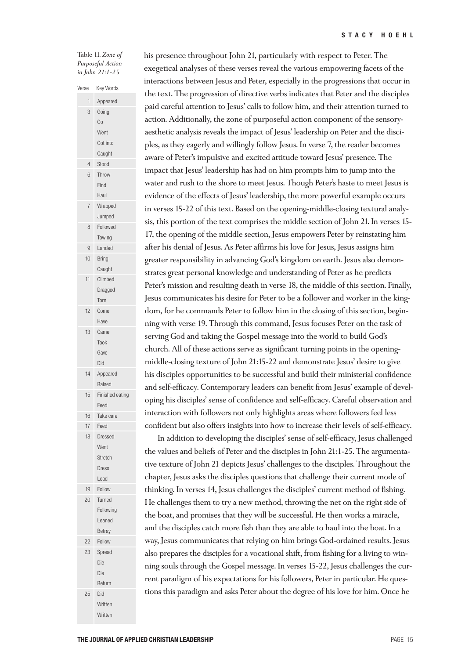Table 11. *Zone of Purposeful Action in John 21:1-25*

| Verse | Key Words          |
|-------|--------------------|
| 1     | Appeared           |
| 3     | Going              |
|       | Go                 |
|       | Went               |
|       | Got into           |
|       | Caught             |
| 4     | Stood              |
| 6     | Throw              |
|       | Find               |
|       | Haul               |
| 7     | Wrapped            |
|       | Jumped             |
| 8     | Followed           |
|       | Towing             |
| 9     | Landed             |
| 10    | <b>Bring</b>       |
|       | Caught             |
| 11    | Climbed            |
|       | Dragged            |
|       | Torn               |
| 12    | Come               |
|       | Have               |
| 13    | Came               |
|       | Took               |
|       | Gave               |
|       | Did                |
| 14    |                    |
|       | Appeared<br>Raised |
| 15    | Finished eating    |
|       | Feed               |
| 16    | Take care          |
| 17    | Feed               |
|       |                    |
| 18    | Dressed            |
|       | Went               |
|       | Stretch            |
|       | <b>Dress</b>       |
| 19    | Lead               |
|       | Follow             |
| 20    | Turned             |
|       | Following          |
|       | Leaned             |
|       | Betray             |
| 22    | Follow             |
| 23    | Spread             |
|       | Die                |
|       | Die                |
|       | Return             |
| 25    | Did                |
|       | Written            |
|       | Written            |

his presence throughout John 21, particularly with respect to Peter. The exegetical analyses of these verses reveal the various empowering facets of the interactions between Jesus and Peter, especially in the progressions that occur in the text. The progression of directive verbs indicates that Peter and the disciples paid careful attention to Jesus' calls to follow him, and their attention turned to action. Additionally, the zone of purposeful action component of the sensoryaesthetic analysis reveals the impact of Jesus' leadership on Peter and the disciples, as they eagerly and willingly follow Jesus. In verse 7, the reader becomes aware of Peter's impulsive and excited attitude toward Jesus' presence. The impact that Jesus' leadership has had on him prompts him to jump into the water and rush to the shore to meet Jesus. Though Peter's haste to meet Jesus is evidence of the effects of Jesus' leadership, the more powerful example occurs in verses 15-22 of this text. Based on the opening-middle-closing textural analysis, this portion of the text comprises the middle section of John 21. In verses 15- 17, the opening of the middle section, Jesus empowers Peter by reinstating him after his denial of Jesus. As Peter affirms his love for Jesus, Jesus assigns him greater responsibility in advancing God's kingdom on earth. Jesus also demonstrates great personal knowledge and understanding of Peter as he predicts Peter's mission and resulting death in verse 18, the middle of this section. Finally, Jesus communicates his desire for Peter to be a follower and worker in the kingdom, for he commands Peter to follow him in the closing of this section, beginning with verse 19. Through this command, Jesus focuses Peter on the task of serving God and taking the Gospel message into the world to build God's church. All of these actions serve as significant turning points in the openingmiddle-closing texture of John 21:15-22 and demonstrate Jesus' desire to give his disciples opportunities to be successful and build their ministerial confidence and self-efficacy. Contemporary leaders can benefit from Jesus' example of developing his disciples' sense of confidence and self-efficacy. Careful observation and interaction with followers not only highlights areas where followers feel less confident but also offers insights into how to increase their levels of self-efficacy.

In addition to developing the disciples' sense of self-efficacy, Jesus challenged the values and beliefs of Peter and the disciples in John 21:1-25. The argumentative texture of John 21 depicts Jesus' challenges to the disciples. Throughout the chapter, Jesus asks the disciples questions that challenge their current mode of thinking. In verses 14, Jesus challenges the disciples' current method of fishing. He challenges them to try a new method, throwing the net on the right side of the boat, and promises that they will be successful. He then works a miracle, and the disciples catch more fish than they are able to haul into the boat. In a way, Jesus communicates that relying on him brings God-ordained results. Jesus also prepares the disciples for a vocational shift, from fishing for a living to winning souls through the Gospel message. In verses 15-22, Jesus challenges the current paradigm of his expectations for his followers, Peter in particular. He questions this paradigm and asks Peter about the degree of his love for him. Once he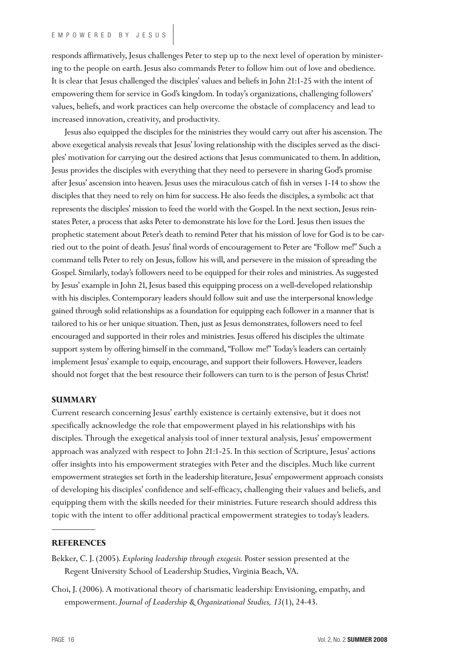responds affirmatively, Jesus challenges Peter to step up to the next level of operation by ministering to the people on earth. Jesus also commands Peter to follow him out of love and obedience. It is clear that Jesus challenged the disciples' values and beliefs in John 21:1-25 with the intent of empowering them for service in God's kingdom. In today's organizations, challenging followers' values, beliefs, and work practices can help overcome the obstacle of complacency and lead to increased innovation, creativity, and productivity.

Jesus also equipped the disciples for the ministries they would carry out after his ascension. The above exegetical analysis reveals that Jesus' loving relationship with the disciples served as the disciples' motivation for carrying out the desired actions that Jesus communicated to them. In addition, Jesus provides the disciples with everything that they need to persevere in sharing God's promise after Jesus' ascension into heaven. Jesus uses the miraculous catch of fish in verses 1-14 to show the disciples that they need to rely on him for success. He also feeds the disciples, a symbolic act that represents the disciples' mission to feed the world with the Gospel. In the next section, Jesus reinstates Peter, a process that asks Peter to demonstrate his love for the Lord. Jesus then issues the prophetic statement about Peter's death to remind Peter that his mission of love for God is to be carried out to the point of death. Jesus' final words of encouragement to Peter are "Follow me!" Such a command tells Peter to rely on Jesus, follow his will, and persevere in the mission of spreading the Gospel. Similarly, today's followers need to be equipped for their roles and ministries. As suggested by Jesus' example in John 21, Jesus based this equipping process on a well-developed relationship with his disciples. Contemporary leaders should follow suit and use the interpersonal knowledge gained through solid relationships as a foundation for equipping each follower in a manner that is tailored to his or her unique situation. Then, just as Jesus demonstrates, followers need to feel encouraged and supported in their roles and ministries. Jesus offered his disciples the ultimate support system by offering himself in the command, "Follow me!" Today's leaders can certainly implement Jesus' example to equip, encourage, and support their followers. However, leaders should not forget that the best resource their followers can turn to is the person of Jesus Christ!

#### **SUMMARY**

Current research concerning Jesus' earthly existence is certainly extensive, but it does not specifically acknowledge the role that empowerment played in his relationships with his disciples. Through the exegetical analysis tool of inner textural analysis, Jesus' empowerment approach was analyzed with respect to John 21:1-25. In this section of Scripture, Jesus' actions offer insights into his empowerment strategies with Peter and the disciples. Much like current empowerment strategies set forth in the leadership literature, Jesus' empowerment approach consists of developing his disciples' confidence and self-efficacy, challenging their values and beliefs, and equipping them with the skills needed for their ministries. Future research should address this topic with the intent to offer additional practical empowerment strategies to today's leaders.

## **REFERENCES**

Bekker, C. J. (2005). *Exploring leadership through exegesis.* Poster session presented at the Regent University School of Leadership Studies, Virginia Beach, VA.

Choi, J. (2006). A motivational theory of charismatic leadership: Envisioning, empathy, and empowerment. *Journal of Leadership & Organizational Studies, 13*(1), 24-43.